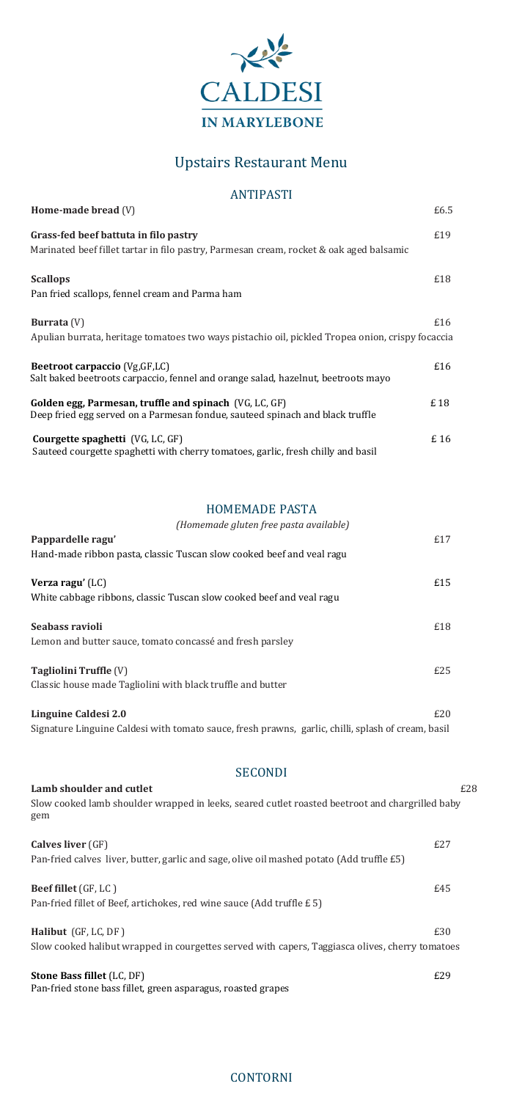

# Upstairs Restaurant Menu

## ANTIPASTI

| Home-made bread $(V)$                                                                                                                   | £6.5 |
|-----------------------------------------------------------------------------------------------------------------------------------------|------|
| Grass-fed beef battuta in filo pastry<br>Marinated beef fillet tartar in filo pastry, Parmesan cream, rocket & oak aged balsamic        | £19  |
| <b>Scallops</b><br>Pan fried scallops, fennel cream and Parma ham                                                                       | £18  |
| <b>Burrata</b> (V)<br>Apulian burrata, heritage tomatoes two ways pistachio oil, pickled Tropea onion, crispy focaccia                  | £16  |
| Beetroot carpaccio (Vg, GF, LC)<br>Salt baked beetroots carpaccio, fennel and orange salad, hazelnut, beetroots mayo                    | £16  |
| Golden egg, Parmesan, truffle and spinach (VG, LC, GF)<br>Deep fried egg served on a Parmesan fondue, sauteed spinach and black truffle | £18  |
| <b>Courgette spaghetti</b> (VG, LC, GF)<br>Sauteed courgette spaghetti with cherry tomatoes, garlic, fresh chilly and basil             | £16  |

**Linguine Caldesi 2.0**  $£20$ Signature Linguine Caldesi with tomato sauce, fresh prawns, garlic, chilli, splash of cream, basil

#### HOMEMADE PASTA

**Beef fillet** (GF, LC)  $£45$ Pan-fried fillet of Beef, artichokes, red wine sauce (Add truffle £ 5)

**Halibut** (GF, LC, DF)  $£30$ Slow cooked halibut wrapped in courgettes served with capers, Taggiasca olives, cherry tomatoes

| (Homemade gluten free pasta available)                                |     |
|-----------------------------------------------------------------------|-----|
| Pappardelle ragu'                                                     | £17 |
| Hand-made ribbon pasta, classic Tuscan slow cooked beef and veal ragu |     |
| Verza ragu' (LC)                                                      | £15 |
| White cabbage ribbons, classic Tuscan slow cooked beef and veal ragu  |     |
| Seabass ravioli                                                       | £18 |
| Lemon and butter sauce, tomato concassé and fresh parsley             |     |
| Tagliolini Truffle (V)                                                | £25 |
| Classic house made Tagliolini with black truffle and butter           |     |
|                                                                       |     |

#### SECONDI

| Lamb shoulder and cutlet                                                                               | £28 |
|--------------------------------------------------------------------------------------------------------|-----|
| Slow cooked lamb shoulder wrapped in leeks, seared cutlet roasted beetroot and chargrilled baby<br>gem |     |
| <b>Calves liver</b> (GF)                                                                               | E27 |
| Pan-fried calves liver, butter, garlic and sage, olive oil mashed potato (Add truffle £5)              |     |

**Stone Bass fillet** (LC, DF)£29 Pan-fried stone bass fillet, green asparagus, roasted grapes

### CONTORNI